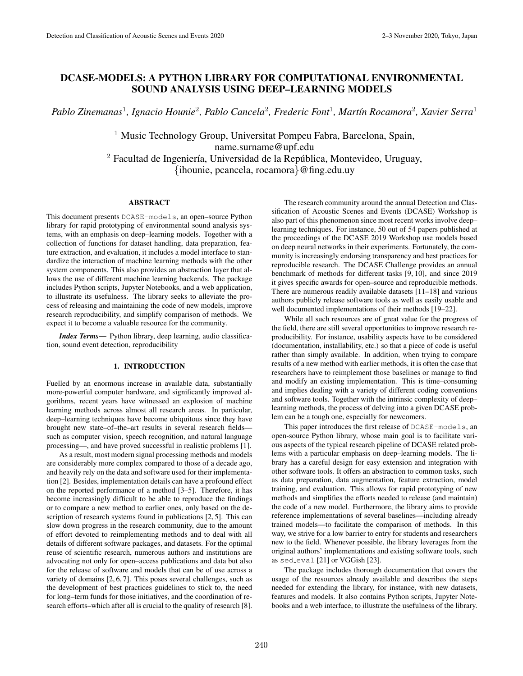# DCASE-MODELS: A PYTHON LIBRARY FOR COMPUTATIONAL ENVIRONMENTAL SOUND ANALYSIS USING DEEP–LEARNING MODELS

*Pablo Zinemanas*<sup>1</sup>*, Ignacio Hounie*<sup>2</sup>*, Pablo Cancela*<sup>2</sup>*, Frederic Font*<sup>1</sup>*, Mart´ın Rocamora*<sup>2</sup>*, Xavier Serra*<sup>1</sup>

<sup>1</sup> Music Technology Group, Universitat Pompeu Fabra, Barcelona, Spain, name.surname@upf.edu  $2$  Facultad de Ingeniería, Universidad de la República, Montevideo, Uruguay, {ihounie, pcancela, rocamora}@fing.edu.uy

### ABSTRACT

This document presents DCASE-models, an open–source Python library for rapid prototyping of environmental sound analysis systems, with an emphasis on deep–learning models. Together with a collection of functions for dataset handling, data preparation, feature extraction, and evaluation, it includes a model interface to standardize the interaction of machine learning methods with the other system components. This also provides an abstraction layer that allows the use of different machine learning backends. The package includes Python scripts, Jupyter Notebooks, and a web application, to illustrate its usefulness. The library seeks to alleviate the process of releasing and maintaining the code of new models, improve research reproducibility, and simplify comparison of methods. We expect it to become a valuable resource for the community.

*Index Terms*— Python library, deep learning, audio classification, sound event detection, reproducibility

# 1. INTRODUCTION

Fuelled by an enormous increase in available data, substantially more-powerful computer hardware, and significantly improved algorithms, recent years have witnessed an explosion of machine learning methods across almost all research areas. In particular, deep–learning techniques have become ubiquitous since they have brought new state–of–the–art results in several research fields such as computer vision, speech recognition, and natural language processing—, and have proved successful in realistic problems [1].

As a result, most modern signal processing methods and models are considerably more complex compared to those of a decade ago, and heavily rely on the data and software used for their implementation [2]. Besides, implementation details can have a profound effect on the reported performance of a method [3–5]. Therefore, it has become increasingly difficult to be able to reproduce the findings or to compare a new method to earlier ones, only based on the description of research systems found in publications [2, 5]. This can slow down progress in the research community, due to the amount of effort devoted to reimplementing methods and to deal with all details of different software packages, and datasets. For the optimal reuse of scientific research, numerous authors and institutions are advocating not only for open–access publications and data but also for the release of software and models that can be of use across a variety of domains [2, 6, 7]. This poses several challenges, such as the development of best practices guidelines to stick to, the need for long–term funds for those initiatives, and the coordination of research efforts–which after all is crucial to the quality of research [8].

The research community around the annual Detection and Classification of Acoustic Scenes and Events (DCASE) Workshop is also part of this phenomenon since most recent works involve deep– learning techniques. For instance, 50 out of 54 papers published at the proceedings of the DCASE 2019 Workshop use models based on deep neural networks in their experiments. Fortunately, the community is increasingly endorsing transparency and best practices for reproducible research. The DCASE Challenge provides an annual benchmark of methods for different tasks [9, 10], and since 2019 it gives specific awards for open–source and reproducible methods. There are numerous readily available datasets [11–18] and various authors publicly release software tools as well as easily usable and well documented implementations of their methods [19–22].

While all such resources are of great value for the progress of the field, there are still several opportunities to improve research reproducibility. For instance, usability aspects have to be considered (documentation, installability, etc.) so that a piece of code is useful rather than simply available. In addition, when trying to compare results of a new method with earlier methods, it is often the case that researchers have to reimplement those baselines or manage to find and modify an existing implementation. This is time–consuming and implies dealing with a variety of different coding conventions and software tools. Together with the intrinsic complexity of deep– learning methods, the process of delving into a given DCASE problem can be a tough one, especially for newcomers.

This paper introduces the first release of DCASE-models, an open-source Python library, whose main goal is to facilitate various aspects of the typical research pipeline of DCASE related problems with a particular emphasis on deep–learning models. The library has a careful design for easy extension and integration with other software tools. It offers an abstraction to common tasks, such as data preparation, data augmentation, feature extraction, model training, and evaluation. This allows for rapid prototyping of new methods and simplifies the efforts needed to release (and maintain) the code of a new model. Furthermore, the library aims to provide reference implementations of several baselines—including already trained models—to facilitate the comparison of methods. In this way, we strive for a low barrier to entry for students and researchers new to the field. Whenever possible, the library leverages from the original authors' implementations and existing software tools, such as sed eval [21] or VGGish [23].

The package includes thorough documentation that covers the usage of the resources already available and describes the steps needed for extending the library, for instance, with new datasets, features and models. It also contains Python scripts, Jupyter Notebooks and a web interface, to illustrate the usefulness of the library.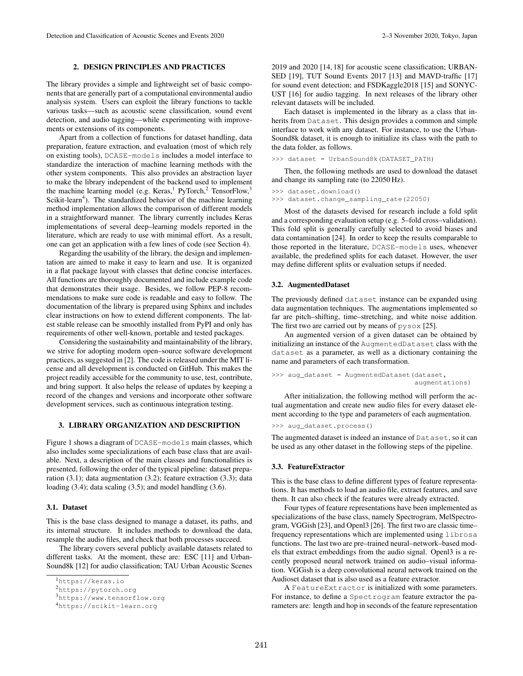# 2. DESIGN PRINCIPLES AND PRACTICES

The library provides a simple and lightweight set of basic components that are generally part of a computational environmental audio analysis system. Users can exploit the library functions to tackle various tasks—such as acoustic scene classification, sound event detection, and audio tagging—while experimenting with improvements or extensions of its components.

Apart from a collection of functions for dataset handling, data preparation, feature extraction, and evaluation (most of which rely on existing tools), DCASE-models includes a model interface to standardize the interaction of machine learning methods with the other system components. This also provides an abstraction layer to make the library independent of the backend used to implement the machine learning model (e.g. Keras,<sup>1</sup> PyTorch,<sup>2</sup> TensorFlow,<sup>3</sup> Scikit-learn<sup>4</sup>). The standardized behavior of the machine learning method implementation allows the comparison of different models in a straightforward manner. The library currently includes Keras implementations of several deep–learning models reported in the literature, which are ready to use with minimal effort. As a result, one can get an application with a few lines of code (see Section 4).

Regarding the usability of the library, the design and implementation are aimed to make it easy to learn and use. It is organized in a flat package layout with classes that define concise interfaces. All functions are thoroughly documented and include example code that demonstrates their usage. Besides, we follow PEP-8 recommendations to make sure code is readable and easy to follow. The documentation of the library is prepared using Sphinx and includes clear instructions on how to extend different components. The latest stable release can be smoothly installed from PyPI and only has requirements of other well-known, portable and tested packages.

Considering the sustainability and maintainability of the library, we strive for adopting modern open–source software development practices, as suggested in [2]. The code is released under the MIT license and all development is conducted on GitHub. This makes the project readily accessible for the community to use, test, contribute, and bring support. It also helps the release of updates by keeping a record of the changes and versions and incorporate other software development services, such as continuous integration testing.

#### 3. LIBRARY ORGANIZATION AND DESCRIPTION

Figure 1 shows a diagram of DCASE-models main classes, which also includes some specializations of each base class that are available. Next, a description of the main classes and functionalities is presented, following the order of the typical pipeline: dataset preparation (3.1); data augmentation (3.2); feature extraction (3.3); data loading (3.4); data scaling (3.5); and model handling (3.6).

# 3.1. Dataset

This is the base class designed to manage a dataset, its paths, and its internal structure. It includes methods to download the data, resample the audio files, and check that both processes succeed.

The library covers several publicly available datasets related to different tasks. At the moment, these are: ESC [11] and Urban-Sound8k [12] for audio classification; TAU Urban Acoustic Scenes 2019 and 2020 [14, 18] for acoustic scene classification; URBAN-SED [19], TUT Sound Events 2017 [13] and MAVD-traffic [17] for sound event detection; and FSDKaggle2018 [15] and SONYC-UST [16] for audio tagging. In next releases of the library other relevant datasets will be included.

Each dataset is implemented in the library as a class that inherits from Dataset. This design provides a common and simple interface to work with any dataset. For instance, to use the Urban-Sound8k dataset, it is enough to initialize its class with the path to the data folder, as follows.

>>> dataset = UrbanSound8k(DATASET\_PATH)

Then, the following methods are used to download the dataset and change its sampling rate (to 22050 Hz).

```
>>> dataset.download()
```
>>> dataset.change\_sampling\_rate(22050)

Most of the datasets devised for research include a fold split and a corresponding evaluation setup (e.g. 5–fold cross–validation). This fold split is generally carefully selected to avoid biases and data contamination [24]. In order to keep the results comparable to those reported in the literature, DCASE-models uses, whenever available, the predefined splits for each dataset. However, the user may define different splits or evaluation setups if needed.

### 3.2. AugmentedDataset

The previously defined dataset instance can be expanded using data augmentation techniques. The augmentations implemented so far are pitch–shifting, time–stretching, and white noise addition. The first two are carried out by means of  $pysox$  [25].

An augmented version of a given dataset can be obtained by initializing an instance of the AugmentedDataset class with the dataset as a parameter, as well as a dictionary containing the name and parameters of each transformation.

```
>>> aug_dataset = AugmentedDataset (dataset,
                                    augmentations)
```
After initialization, the following method will perform the actual augmentation and create new audio files for every dataset element according to the type and parameters of each augmentation.

>>> aug\_dataset.process()

The augmented dataset is indeed an instance of Dataset, so it can be used as any other dataset in the following steps of the pipeline.

#### 3.3. FeatureExtractor

This is the base class to define different types of feature representations. It has methods to load an audio file, extract features, and save them. It can also check if the features were already extracted.

Four types of feature representations have been implemented as specializations of the base class, namely Spectrogram, MelSpectrogram, VGGish [23], and Openl3 [26]. The first two are classic time– frequency representations which are implemented using librosa functions. The last two are pre–trained neural–network–based models that extract embeddings from the audio signal. Openl3 is a recently proposed neural network trained on audio–visual information. VGGish is a deep convolutional neural network trained on the Audioset dataset that is also used as a feature extractor.

A FeatureExtractor is initialized with some parameters. For instance, to define a Spectrogram feature extractor the parameters are: length and hop in seconds of the feature representation

<sup>1</sup>https://keras.io

<sup>2</sup>https://pytorch.org

<sup>3</sup>https://www.tensorflow.org

<sup>4</sup>https://scikit-learn.org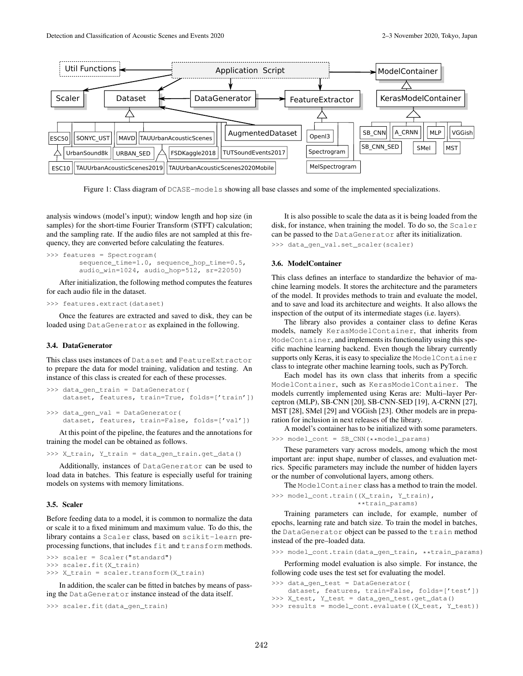

Figure 1: Class diagram of DCASE-models showing all base classes and some of the implemented specializations.

analysis windows (model's input); window length and hop size (in samples) for the short-time Fourier Transform (STFT) calculation; and the sampling rate. If the audio files are not sampled at this frequency, they are converted before calculating the features.

```
>>> features = Spectrogram(
        sequence_time=1.0, sequence_hop_time=0.5,
        audio_win=1024, audio_hop=512, sr=22050)
```
After initialization, the following method computes the features for each audio file in the dataset.

```
>>> features.extract(dataset)
```
Once the features are extracted and saved to disk, they can be loaded using DataGenerator as explained in the following.

#### 3.4. DataGenerator

This class uses instances of Dataset and FeatureExtractor to prepare the data for model training, validation and testing. An instance of this class is created for each of these processes.

```
>>> data_gen_train = DataGenerator(
    dataset, features, train=True, folds=['train'])
>>> data_gen_val = DataGenerator(
    dataset, features, train=False, folds=['val'])
```
At this point of the pipeline, the features and the annotations for training the model can be obtained as follows.

```
>>> X_train, Y_train = data_gen_train.get_data()
```
Additionally, instances of DataGenerator can be used to load data in batches. This feature is especially useful for training models on systems with memory limitations.

# 3.5. Scaler

Before feeding data to a model, it is common to normalize the data or scale it to a fixed minimum and maximum value. To do this, the library contains a Scaler class, based on scikit-learn preprocessing functions, that includes fit and transform methods.

```
>>> scaler = Scaler("standard")
>>> scaler.fit(X_train)
>>> X_train = scaler.transform(X_train)
```
In addition, the scaler can be fitted in batches by means of passing the DataGenerator instance instead of the data itself.

>>> scaler.fit(data\_gen\_train)

It is also possible to scale the data as it is being loaded from the disk, for instance, when training the model. To do so, the Scaler can be passed to the DataGenerator after its initialization. >>> data\_gen\_val.set\_scaler(scaler)

# 3.6. ModelContainer

This class defines an interface to standardize the behavior of machine learning models. It stores the architecture and the parameters of the model. It provides methods to train and evaluate the model, and to save and load its architecture and weights. It also allows the inspection of the output of its intermediate stages (i.e. layers).

The library also provides a container class to define Keras models, namely KerasModelContainer, that inherits from ModeContainer, and implements its functionality using this specific machine learning backend. Even though the library currently supports only Keras, it is easy to specialize the ModelContainer class to integrate other machine learning tools, such as PyTorch.

Each model has its own class that inherits from a specific ModelContainer, such as KerasModelContainer. The models currently implemented using Keras are: Multi–layer Perceptron (MLP), SB-CNN [20], SB-CNN-SED [19], A-CRNN [27], MST [28], SMel [29] and VGGish [23]. Other models are in preparation for inclusion in next releases of the library.

A model's container has to be initialized with some parameters. >>> model\_cont = SB\_CNN(\*\*model\_params)

These parameters vary across models, among which the most important are: input shape, number of classes, and evaluation metrics. Specific parameters may include the number of hidden layers or the number of convolutional layers, among others.

The ModelContainer class has a method to train the model. >>> model cont.train((X train, Y train),

```
**train_params)
```
Training parameters can include, for example, number of epochs, learning rate and batch size. To train the model in batches, the DataGenerator object can be passed to the train method instead of the pre–loaded data.

>>> model\_cont.train(data\_gen\_train, \*\*train\_params)

Performing model evaluation is also simple. For instance, the following code uses the test set for evaluating the model.

>>> data\_gen\_test = DataGenerator(

```
dataset, features, train=False, folds=['test'])
>>> X_test, Y_test = data_gen_test.get_data()
>>> results = model_cont.evaluate((X_test, Y_test))
```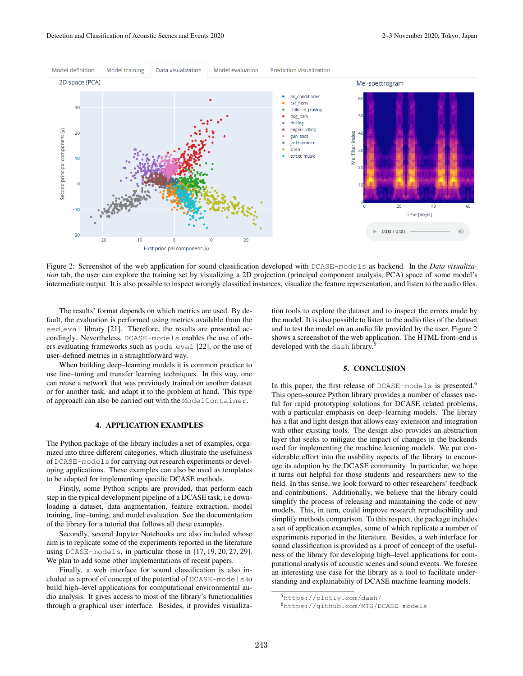

Figure 2: Screenshot of the web application for sound classification developed with DCASE-models as backend. In the *Data visualization* tab, the user can explore the training set by visualizing a 2D projection (principal component analysis, PCA) space of some model's intermediate output. It is also possible to inspect wrongly classified instances, visualize the feature representation, and listen to the audio files.

The results' format depends on which metrics are used. By default, the evaluation is performed using metrics available from the sed\_eval library [21]. Therefore, the results are presented accordingly. Nevertheless, DCASE-models enables the use of others evaluating frameworks such as psds eval [22], or the use of user–defined metrics in a straightforward way.

When building deep–learning models it is common practice to use fine–tuning and transfer learning techniques. In this way, one can reuse a network that was previously trained on another dataset or for another task, and adapt it to the problem at hand. This type of approach can also be carried out with the ModelContainer.

#### 4. APPLICATION EXAMPLES

The Python package of the library includes a set of examples, organized into three different categories, which illustrate the usefulness of DCASE-models for carrying out research experiments or developing applications. These examples can also be used as templates to be adapted for implementing specific DCASE methods.

Firstly, some Python scripts are provided, that perform each step in the typical development pipeline of a DCASE task, i.e downloading a dataset, data augmentation, feature extraction, model training, fine–tuning, and model evaluation. See the documentation of the library for a tutorial that follows all these examples.

Secondly, several Jupyter Notebooks are also included whose aim is to replicate some of the experiments reported in the literature using DCASE-models, in particular those in [17, 19, 20, 27, 29]. We plan to add some other implementations of recent papers.

Finally, a web interface for sound classification is also included as a proof of concept of the potential of DCASE-models to build high–level applications for computational environmental audio analysis. It gives access to most of the library's functionalities through a graphical user interface. Besides, it provides visualization tools to explore the dataset and to inspect the errors made by the model. It is also possible to listen to the audio files of the dataset and to test the model on an audio file provided by the user. Figure 2 shows a screenshot of the web application. The HTML front–end is developed with the dash library.

# 5. CONCLUSION

In this paper, the first release of DCASE-models is presented.<sup>6</sup> This open–source Python library provides a number of classes useful for rapid prototyping solutions for DCASE related problems, with a particular emphasis on deep–learning models. The library has a flat and light design that allows easy extension and integration with other existing tools. The design also provides an abstraction layer that seeks to mitigate the impact of changes in the backends used for implementing the machine learning models. We put considerable effort into the usability aspects of the library to encourage its adoption by the DCASE community. In particular, we hope it turns out helpful for those students and researchers new to the field. In this sense, we look forward to other researchers' feedback and contributions. Additionally, we believe that the library could simplify the process of releasing and maintaining the code of new models. This, in turn, could improve research reproducibility and simplify methods comparison. To this respect, the package includes a set of application examples, some of which replicate a number of experiments reported in the literature. Besides, a web interface for sound classification is provided as a proof of concept of the usefulness of the library for developing high–level applications for computational analysis of acoustic scenes and sound events. We foresee an interesting use case for the library as a tool to facilitate understanding and explainability of DCASE machine learning models.

<sup>5</sup>https://plotly.com/dash/

<sup>6</sup>https://github.com/MTG/DCASE-models